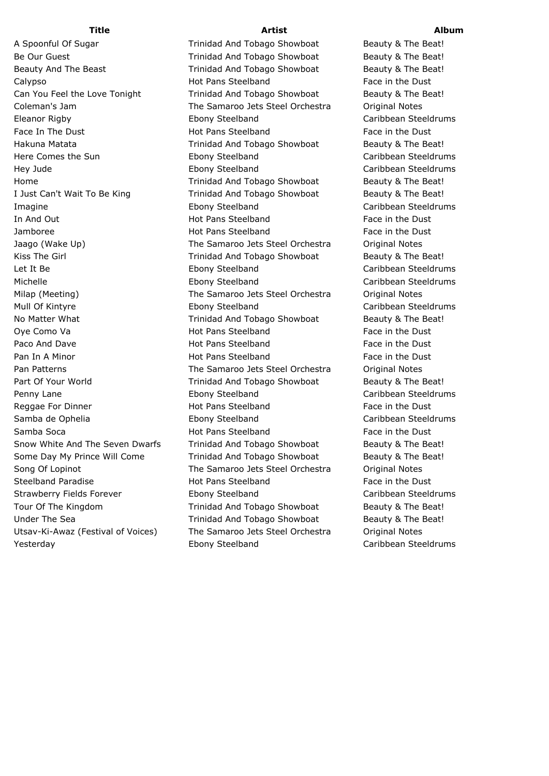A Spoonful Of Sugar Trinidad And Tobago Showboat Beauty & The Beat! Be Our Guest **Trinidad And Tobago Showboat** Beauty & The Beat! Beauty And The Beast **Trinidad And Tobago Showboat** Beauty & The Beat! Calypso **Face in the Dust** Hot Pans Steelband Face in the Dust Can You Feel the Love Tonight Trinidad And Tobago Showboat Beauty & The Beat! Coleman's Jam The Samaroo Jets Steel Orchestra Original Notes Eleanor Rigby Ebony Steelband Caribbean Steeldrums Face In The Dust **Face In The Dust** Hot Pans Steelband Face in the Dust Hakuna Matata **Trinidad And Tobago Showboat** Beauty & The Beat! Here Comes the Sun **Ebony Steelband** Caribbean Steeldrums Hey Jude Ebony Steelband Caribbean Steeldrums Home **Trinidad And Tobago Showboat** Beauty & The Beat! I Just Can't Wait To Be King Trinidad And Tobago Showboat Beauty & The Beat! Imagine Ebony Steelband Caribbean Steeldrums In And Out **Face in the Dust** Hot Pans Steelband Face in the Dust Jamboree Hot Pans Steelband Face in the Dust Jaago (Wake Up) The Samaroo Jets Steel Orchestra Original Notes Kiss The Girl **Trinidad And Tobago Showboat** Beauty & The Beat! Let It Be **Ebony Steelband** Caribbean Steeldrums Michelle Ebony Steelband Caribbean Steeldrums Milap (Meeting) The Samaroo Jets Steel Orchestra Original Notes Mull Of Kintyre Ebony Steelband Caribbean Steeldrums No Matter What Trinidad And Tobago Showboat Beauty & The Beat! Ove Como Va **Face in the Dust** Hot Pans Steelband Face in the Dust Paco And Dave **Face in the Dust** Hot Pans Steelband Face in the Dust Pan In A Minor **Face in the Dust** Hot Pans Steelband Face in the Dust Pan Patterns **The Samaroo Jets Steel Orchestra** Original Notes Part Of Your World **Trinidad And Tobago Showboat** Beauty & The Beat! Penny Lane **Ebony Steelband** Caribbean Steeldrums Reggae For Dinner **Face in the Dust** Hot Pans Steelband Face in the Dust Samba de Ophelia Ebony Steelband Caribbean Steeldrums Samba Soca **Face in the Dust** Hot Pans Steelband Face in the Dust Snow White And The Seven Dwarfs Trinidad And Tobago Showboat Beauty & The Beat! Some Day My Prince Will Come Trinidad And Tobago Showboat Beauty & The Beat! Song Of Lopinot **The Samaroo Jets Steel Orchestra** Original Notes Steelband Paradise **Face in the Dust** Hot Pans Steelband Face in the Dust Strawberry Fields Forever Ebony Steelband Caribbean Steeldrums Tour Of The Kingdom Trinidad And Tobago Showboat Beauty & The Beat! Under The Sea **Trinidad And Tobago Showboat** Beauty & The Beat! Utsav-Ki-Awaz (Festival of Voices) The Samaroo Jets Steel Orchestra Original Notes Yesterday Ebony Steelband Caribbean Steeldrums

## **Title Artist Album**